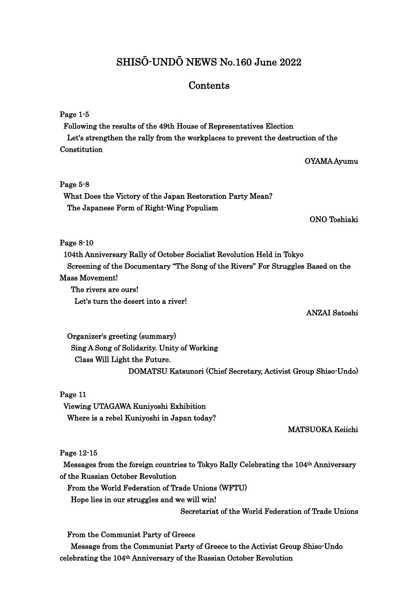# SHISŌ-UNDŌ NEWS No.160 June 2022

# Contents

## Page 1-5

Following the results of the 49th House of Representatives Election Let's strengthen the rally from the workplaces to prevent the destruction of the Constitution

### OYAMA Ayumu

### Page 5-8

What Does the Victory of the Japan Restoration Party Mean? The Japanese Form of Right-Wing Populism

ONO Toshiaki

### Page 8-10

104th Anniversary Rally of October Socialist Revolution Held in Tokyo Screening of the Documentary "The Song of the Rivers" For Struggles Based on the Mass Movement!

The rivers are ours! Let's turn the desert into a river!

#### ANZAI Satoshi

Organizer's greeting (summary) Sing A Song of Solidarity. Unity of Working Class Will Light the Future. DOMATSU Katsunori (Chief Secretary, Activist Group Shiso-Undo)

#### Page 11

 Viewing UTAGAWA Kuniyoshi Exhibition Where is a rebel Kuniyoshi in Japan today?

#### MATSUOKA Keiichi

#### Page 12-15

Messages from the foreign countries to Tokyo Rally Celebrating the 104th Anniversary of the Russian October Revolution

From the World Federation of Trade Unions (WFTU)

Hope lies in our struggles and we will win!

Secretariat of the World Federation of Trade Unions

From the Communist Party of Greece

Message from the Communist Party of Greece to the Activist Group Shiso-Undo celebrating the 104th Anniversary of the Russian October Revolution